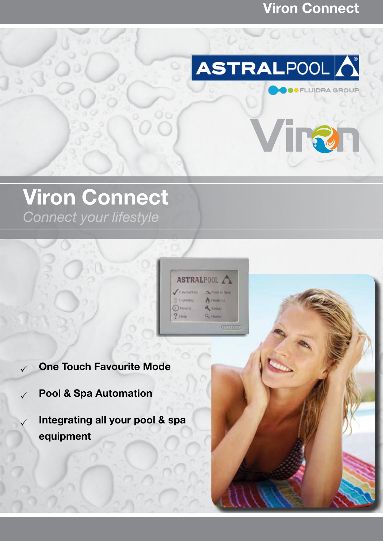### Viron Connect

**FLUIDRA GROUP** 



# Viron Connect

*Connect your lifestyle*



- One Touch Favourite Mode
- $\sqrt{ }$  Pool & Spa Automation
	- Integrating all your pool & spa equipment